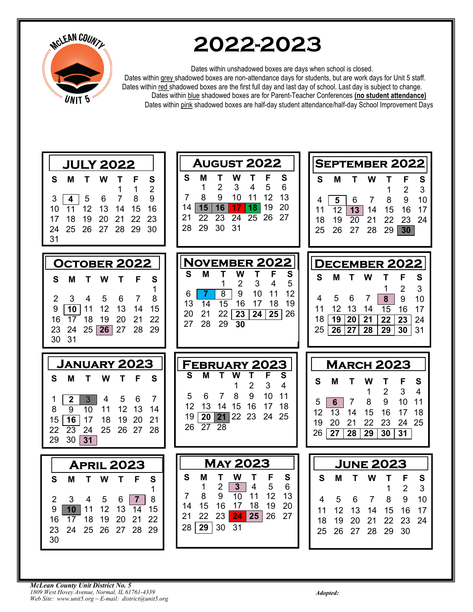

# 2022-2023

Dates within unshadowed boxes are days when school is closed.

Dates within grey shadowed boxes are non-attendance days for students, but are work days for Unit 5 staff. Dates within red shadowed boxes are the first full day and last day of school. Last day is subject to change. Dates within blue shadowed boxes are for Parent-Teacher Conferences (no student attendance) Dates within pink shadowed boxes are half-day student attendance/half-day School Improvement Days

| <b>JULY 2022</b>                                                                                                                                                                                                                                                                                              | <b>AUGUST 2022</b>                                                                                                                                                                                                                               | <b>SEPTEMBER 2022</b>                                                                                                                                                                                                                                                  |  |
|---------------------------------------------------------------------------------------------------------------------------------------------------------------------------------------------------------------------------------------------------------------------------------------------------------------|--------------------------------------------------------------------------------------------------------------------------------------------------------------------------------------------------------------------------------------------------|------------------------------------------------------------------------------------------------------------------------------------------------------------------------------------------------------------------------------------------------------------------------|--|
| S<br>S<br>М<br>т<br>w<br>Т<br>F<br>$\overline{2}$<br>1<br>1<br>7<br>8<br>4<br>5<br>6<br>9<br>3<br>12<br>13<br>11<br>15<br>16<br>10<br>14<br>18<br>20<br>21<br>22<br>23<br>19<br>17<br>25<br>26<br>27<br>28<br>29<br>30<br>24<br>31                                                                            | S<br>W<br>F<br>М<br>Τ<br>S<br>т<br>$\overline{2}$<br>3<br>5<br>6<br>4<br>1<br>12<br>8<br>9<br>10<br>13<br>11<br>7<br>19<br>20<br>15<br>16<br>14<br>17<br>18<br>22<br>24<br>26<br>27<br>21<br>23<br>25<br>31<br>29<br>30<br>28                    | S<br>M<br>т<br>W<br>F<br>S<br>$\overline{2}$<br>3<br>1<br>10<br>$\overline{7}$<br>8<br>9<br>5<br>6<br>4<br>$\overline{13}$<br>$\overline{12}$<br>14<br>16<br>17<br>15<br>11<br>19<br>$\overline{20}$<br>21<br>22<br>24<br>18<br>23<br>25<br>26<br>27<br>28<br>29<br>30 |  |
| <b>OCTOBER 2022</b><br>F<br>S<br>S<br>M<br>W<br>т<br>т<br>1<br>3<br>4<br>5<br>8<br>2<br>6<br>7<br>$\overline{10}$<br>12<br>13<br>15<br>9<br>11<br>14<br>17<br>18<br>20<br>21<br>22<br>16<br>19<br>24<br>25 26 <br>27<br>28<br>23<br>29<br>31<br>30                                                            | <b>NOVEMBER 2022</b><br>S<br>Т<br>W<br>F<br>S<br>Μ<br>т<br>1<br>2<br>3<br>5<br>4<br>8<br>9<br>10<br>12<br>11<br>-7<br>6<br>15<br>13<br>16<br>17<br>19<br>14<br>18<br>20<br>21<br>22<br>26<br>23<br>24<br>25<br>28<br>29<br>27<br>$\overline{30}$ | <b>DECEMBER 2022</b><br>S<br>Μ<br>Т<br>W<br>F<br>S<br>т<br>3<br>2<br>1<br>5<br>6<br>4<br>7<br>8<br>9<br>10<br>12<br>13<br>11<br>14<br>15<br>16<br>17<br>$\overline{20}$<br>18<br>19<br>21<br>22<br>23<br>24<br>25<br>26<br>27<br>28<br>29<br>30<br>31                  |  |
|                                                                                                                                                                                                                                                                                                               |                                                                                                                                                                                                                                                  |                                                                                                                                                                                                                                                                        |  |
| <b>JANUARY 2023</b><br>M<br>S<br>S<br>w<br>F<br>т<br>$\boldsymbol{2}$<br>$\mathbf{3}$<br>5<br>6<br>7<br>4<br>1<br>12<br>13<br>$\overline{9}$<br>10<br>11<br>8<br>14<br>$\overline{16}$<br>17<br>18<br>19<br>20<br>21<br>15<br>$\overline{23}$<br>24<br>25<br>26 27<br>28<br>22<br>30<br>$\overline{31}$<br>29 | <b>FEBRUARY 2023</b><br>S<br>S<br>М<br>W<br>т<br>2<br>3<br>4<br>1<br>9<br>8<br>10<br>6<br>11<br>5<br>7<br>13<br>12<br>14<br>15<br>16<br>18<br>17<br>22<br>23<br>24<br>25<br>20<br>19<br> 21 <br>26<br>27<br>28                                   | <b>MARCH 2023</b><br>S<br>М<br>F<br>S<br>W<br>т<br>Т<br>$\overline{2}$<br>3<br>4<br>1<br>9<br>11<br>5<br>6<br>7<br>8<br>10<br>12<br>13<br>15<br>16<br>14<br>17<br>18<br>25<br>21<br>23<br>24<br>19<br>20<br>22<br>26<br>27<br>28<br>29<br>30<br>31                     |  |